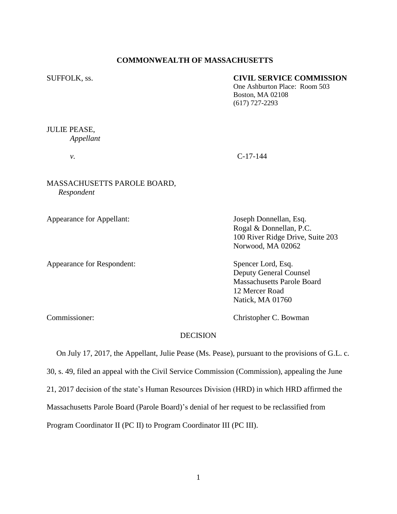# **COMMONWEALTH OF MASSACHUSETTS**

# SUFFOLK, ss. **CIVIL SERVICE COMMISSION**

One Ashburton Place: Room 503 Boston, MA 02108 (617) 727-2293

# JULIE PEASE, *Appellant*

# *v.* C-17-144

# MASSACHUSETTS PAROLE BOARD, *Respondent*

Appearance for Appellant: Joseph Donnellan, Esq.

Appearance for Respondent: Spencer Lord, Esq.

Rogal & Donnellan, P.C. 100 River Ridge Drive, Suite 203 Norwood, MA 02062

Deputy General Counsel Massachusetts Parole Board 12 Mercer Road Natick, MA 01760

Commissioner: Christopher C. Bowman

# DECISION

 On July 17, 2017, the Appellant, Julie Pease (Ms. Pease), pursuant to the provisions of G.L. c. 30, s. 49, filed an appeal with the Civil Service Commission (Commission), appealing the June 21, 2017 decision of the state's Human Resources Division (HRD) in which HRD affirmed the Massachusetts Parole Board (Parole Board)'s denial of her request to be reclassified from Program Coordinator II (PC II) to Program Coordinator III (PC III).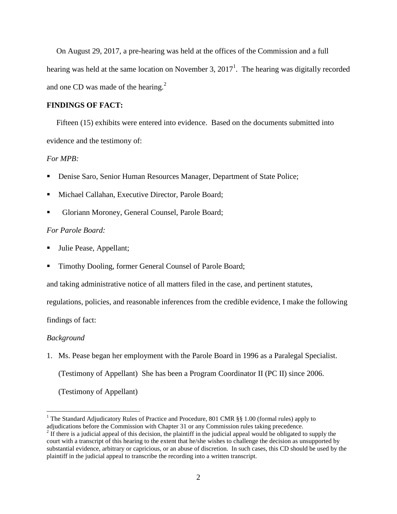On August 29, 2017, a pre-hearing was held at the offices of the Commission and a full hearing was held at the same location on November 3,  $2017<sup>1</sup>$ . The hearing was digitally recorded and one CD was made of the hearing. $2$ 

#### **FINDINGS OF FACT:**

 Fifteen (15) exhibits were entered into evidence. Based on the documents submitted into evidence and the testimony of:

# *For MPB:*

- Denise Saro, Senior Human Resources Manager, Department of State Police;
- Michael Callahan, Executive Director, Parole Board;
- Gloriann Moroney, General Counsel, Parole Board;

#### *For Parole Board:*

- Julie Pease, Appellant;
- **Timothy Dooling, former General Counsel of Parole Board;**

and taking administrative notice of all matters filed in the case, and pertinent statutes,

regulations, policies, and reasonable inferences from the credible evidence, I make the following

findings of fact:

#### *Background*

 $\overline{a}$ 

1. Ms. Pease began her employment with the Parole Board in 1996 as a Paralegal Specialist. (Testimony of Appellant) She has been a Program Coordinator II (PC II) since 2006. (Testimony of Appellant)

<sup>&</sup>lt;sup>1</sup> The Standard Adjudicatory Rules of Practice and Procedure, 801 CMR §§ 1.00 (formal rules) apply to adjudications before the Commission with Chapter 31 or any Commission rules taking precedence.

 $2<sup>2</sup>$  If there is a judicial appeal of this decision, the plaintiff in the judicial appeal would be obligated to supply the court with a transcript of this hearing to the extent that he/she wishes to challenge the decision as unsupported by substantial evidence, arbitrary or capricious, or an abuse of discretion. In such cases, this CD should be used by the plaintiff in the judicial appeal to transcribe the recording into a written transcript.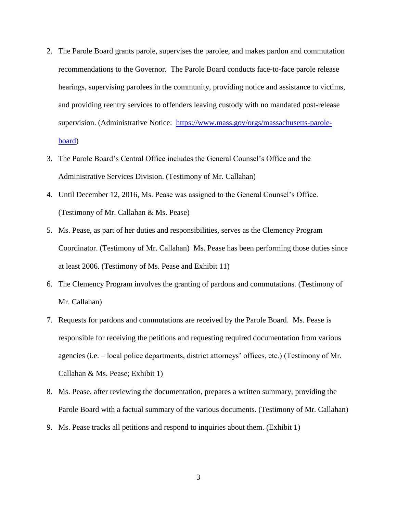- 2. The Parole Board grants parole, supervises the parolee, and makes pardon and commutation recommendations to the Governor. The Parole Board conducts face-to-face parole release hearings, supervising parolees in the community, providing notice and assistance to victims, and providing reentry services to offenders leaving custody with no mandated post-release supervision. (Administrative Notice: [https://www.mass.gov/orgs/massachusetts-parole](https://www.mass.gov/orgs/massachusetts-parole-board)[board\)](https://www.mass.gov/orgs/massachusetts-parole-board)
- 3. The Parole Board's Central Office includes the General Counsel's Office and the Administrative Services Division. (Testimony of Mr. Callahan)
- 4. Until December 12, 2016, Ms. Pease was assigned to the General Counsel's Office. (Testimony of Mr. Callahan & Ms. Pease)
- 5. Ms. Pease, as part of her duties and responsibilities, serves as the Clemency Program Coordinator. (Testimony of Mr. Callahan) Ms. Pease has been performing those duties since at least 2006. (Testimony of Ms. Pease and Exhibit 11)
- 6. The Clemency Program involves the granting of pardons and commutations. (Testimony of Mr. Callahan)
- 7. Requests for pardons and commutations are received by the Parole Board. Ms. Pease is responsible for receiving the petitions and requesting required documentation from various agencies (i.e. – local police departments, district attorneys' offices, etc.) (Testimony of Mr. Callahan & Ms. Pease; Exhibit 1)
- 8. Ms. Pease, after reviewing the documentation, prepares a written summary, providing the Parole Board with a factual summary of the various documents. (Testimony of Mr. Callahan)
- 9. Ms. Pease tracks all petitions and respond to inquiries about them. (Exhibit 1)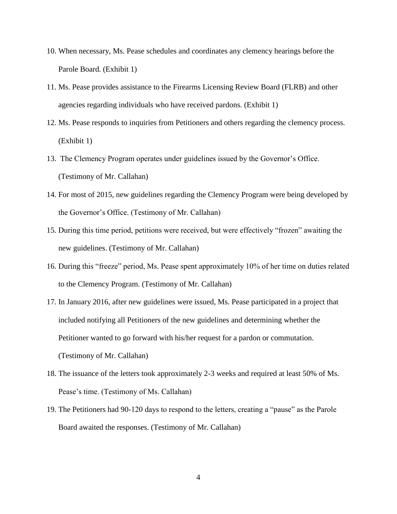- 10. When necessary, Ms. Pease schedules and coordinates any clemency hearings before the Parole Board. (Exhibit 1)
- 11. Ms. Pease provides assistance to the Firearms Licensing Review Board (FLRB) and other agencies regarding individuals who have received pardons. (Exhibit 1)
- 12. Ms. Pease responds to inquiries from Petitioners and others regarding the clemency process. (Exhibit 1)
- 13. The Clemency Program operates under guidelines issued by the Governor's Office. (Testimony of Mr. Callahan)
- 14. For most of 2015, new guidelines regarding the Clemency Program were being developed by the Governor's Office. (Testimony of Mr. Callahan)
- 15. During this time period, petitions were received, but were effectively "frozen" awaiting the new guidelines. (Testimony of Mr. Callahan)
- 16. During this "freeze" period, Ms. Pease spent approximately 10% of her time on duties related to the Clemency Program. (Testimony of Mr. Callahan)
- 17. In January 2016, after new guidelines were issued, Ms. Pease participated in a project that included notifying all Petitioners of the new guidelines and determining whether the Petitioner wanted to go forward with his/her request for a pardon or commutation. (Testimony of Mr. Callahan)
- 18. The issuance of the letters took approximately 2-3 weeks and required at least 50% of Ms. Pease's time. (Testimony of Ms. Callahan)
- 19. The Petitioners had 90-120 days to respond to the letters, creating a "pause" as the Parole Board awaited the responses. (Testimony of Mr. Callahan)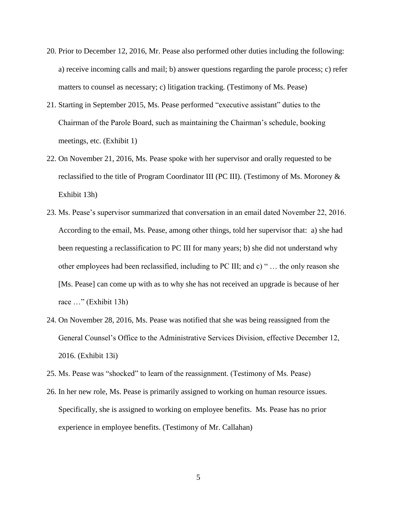- 20. Prior to December 12, 2016, Mr. Pease also performed other duties including the following: a) receive incoming calls and mail; b) answer questions regarding the parole process; c) refer matters to counsel as necessary; c) litigation tracking. (Testimony of Ms. Pease)
- 21. Starting in September 2015, Ms. Pease performed "executive assistant" duties to the Chairman of the Parole Board, such as maintaining the Chairman's schedule, booking meetings, etc. (Exhibit 1)
- 22. On November 21, 2016, Ms. Pease spoke with her supervisor and orally requested to be reclassified to the title of Program Coordinator III (PC III). (Testimony of Ms. Moroney & Exhibit 13h)
- 23. Ms. Pease's supervisor summarized that conversation in an email dated November 22, 2016. According to the email, Ms. Pease, among other things, told her supervisor that: a) she had been requesting a reclassification to PC III for many years; b) she did not understand why other employees had been reclassified, including to PC III; and c) " … the only reason she [Ms. Pease] can come up with as to why she has not received an upgrade is because of her race …" (Exhibit 13h)
- 24. On November 28, 2016, Ms. Pease was notified that she was being reassigned from the General Counsel's Office to the Administrative Services Division, effective December 12, 2016. (Exhibit 13i)
- 25. Ms. Pease was "shocked" to learn of the reassignment. (Testimony of Ms. Pease)
- 26. In her new role, Ms. Pease is primarily assigned to working on human resource issues. Specifically, she is assigned to working on employee benefits. Ms. Pease has no prior experience in employee benefits. (Testimony of Mr. Callahan)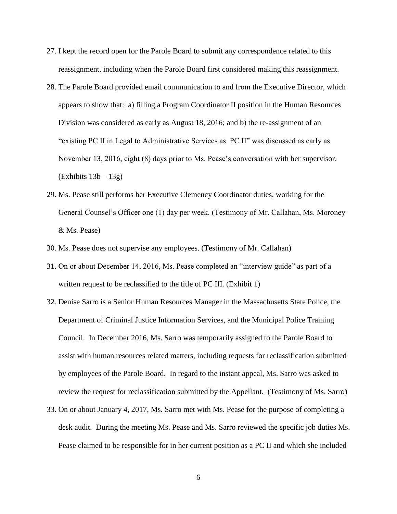- 27. I kept the record open for the Parole Board to submit any correspondence related to this reassignment, including when the Parole Board first considered making this reassignment.
- 28. The Parole Board provided email communication to and from the Executive Director, which appears to show that: a) filling a Program Coordinator II position in the Human Resources Division was considered as early as August 18, 2016; and b) the re-assignment of an "existing PC II in Legal to Administrative Services as PC II" was discussed as early as November 13, 2016, eight (8) days prior to Ms. Pease's conversation with her supervisor.  $(Exhibits 13b - 13g)$
- 29. Ms. Pease still performs her Executive Clemency Coordinator duties, working for the General Counsel's Officer one (1) day per week. (Testimony of Mr. Callahan, Ms. Moroney & Ms. Pease)
- 30. Ms. Pease does not supervise any employees. (Testimony of Mr. Callahan)
- 31. On or about December 14, 2016, Ms. Pease completed an "interview guide" as part of a written request to be reclassified to the title of PC III. (Exhibit 1)
- 32. Denise Sarro is a Senior Human Resources Manager in the Massachusetts State Police, the Department of Criminal Justice Information Services, and the Municipal Police Training Council. In December 2016, Ms. Sarro was temporarily assigned to the Parole Board to assist with human resources related matters, including requests for reclassification submitted by employees of the Parole Board. In regard to the instant appeal, Ms. Sarro was asked to review the request for reclassification submitted by the Appellant. (Testimony of Ms. Sarro)
- 33. On or about January 4, 2017, Ms. Sarro met with Ms. Pease for the purpose of completing a desk audit. During the meeting Ms. Pease and Ms. Sarro reviewed the specific job duties Ms. Pease claimed to be responsible for in her current position as a PC II and which she included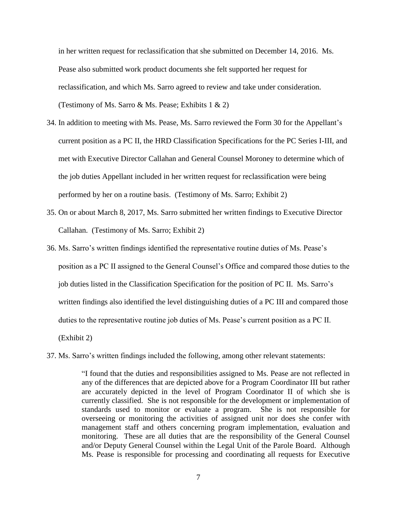in her written request for reclassification that she submitted on December 14, 2016. Ms. Pease also submitted work product documents she felt supported her request for reclassification, and which Ms. Sarro agreed to review and take under consideration. (Testimony of Ms. Sarro  $\&$  Ms. Pease; Exhibits 1  $\&$  2)

- 34. In addition to meeting with Ms. Pease, Ms. Sarro reviewed the Form 30 for the Appellant's current position as a PC II, the HRD Classification Specifications for the PC Series I-III, and met with Executive Director Callahan and General Counsel Moroney to determine which of the job duties Appellant included in her written request for reclassification were being performed by her on a routine basis. (Testimony of Ms. Sarro; Exhibit 2)
- 35. On or about March 8, 2017, Ms. Sarro submitted her written findings to Executive Director Callahan. (Testimony of Ms. Sarro; Exhibit 2)
- 36. Ms. Sarro's written findings identified the representative routine duties of Ms. Pease's position as a PC II assigned to the General Counsel's Office and compared those duties to the job duties listed in the Classification Specification for the position of PC II. Ms. Sarro's written findings also identified the level distinguishing duties of a PC III and compared those duties to the representative routine job duties of Ms. Pease's current position as a PC II. (Exhibit 2)
- 37. Ms. Sarro's written findings included the following, among other relevant statements:

"I found that the duties and responsibilities assigned to Ms. Pease are not reflected in any of the differences that are depicted above for a Program Coordinator III but rather are accurately depicted in the level of Program Coordinator II of which she is currently classified. She is not responsible for the development or implementation of standards used to monitor or evaluate a program. She is not responsible for overseeing or monitoring the activities of assigned unit nor does she confer with management staff and others concerning program implementation, evaluation and monitoring. These are all duties that are the responsibility of the General Counsel and/or Deputy General Counsel within the Legal Unit of the Parole Board. Although Ms. Pease is responsible for processing and coordinating all requests for Executive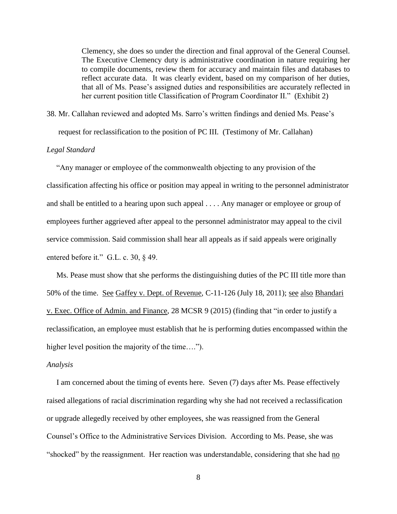Clemency, she does so under the direction and final approval of the General Counsel. The Executive Clemency duty is administrative coordination in nature requiring her to compile documents, review them for accuracy and maintain files and databases to reflect accurate data. It was clearly evident, based on my comparison of her duties, that all of Ms. Pease's assigned duties and responsibilities are accurately reflected in her current position title Classification of Program Coordinator II." (Exhibit 2)

38. Mr. Callahan reviewed and adopted Ms. Sarro's written findings and denied Ms. Pease's

request for reclassification to the position of PC III. (Testimony of Mr. Callahan)

# *Legal Standard*

"Any manager or employee of the commonwealth objecting to any provision of the classification affecting his office or position may appeal in writing to the personnel administrator and shall be entitled to a hearing upon such appeal . . . . Any manager or employee or group of employees further aggrieved after appeal to the personnel administrator may appeal to the civil service commission. Said commission shall hear all appeals as if said appeals were originally entered before it." G.L. c. 30, § 49.

 Ms. Pease must show that she performs the distinguishing duties of the PC III title more than 50% of the time. See Gaffey v. Dept. of Revenue, C-11-126 (July 18, 2011); see also Bhandari v. Exec. Office of Admin. and Finance, 28 MCSR 9 (2015) (finding that "in order to justify a reclassification, an employee must establish that he is performing duties encompassed within the higher level position the majority of the time....").

#### *Analysis*

 I am concerned about the timing of events here. Seven (7) days after Ms. Pease effectively raised allegations of racial discrimination regarding why she had not received a reclassification or upgrade allegedly received by other employees, she was reassigned from the General Counsel's Office to the Administrative Services Division. According to Ms. Pease, she was "shocked" by the reassignment. Her reaction was understandable, considering that she had no

8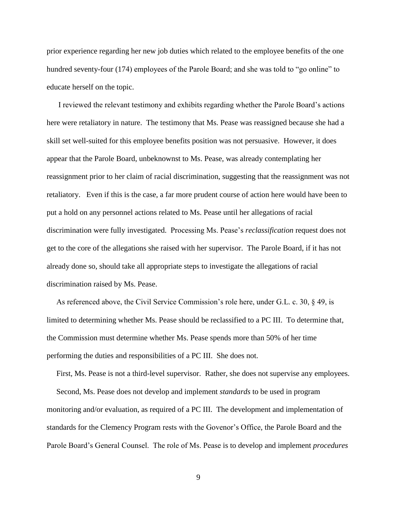prior experience regarding her new job duties which related to the employee benefits of the one hundred seventy-four (174) employees of the Parole Board; and she was told to "go online" to educate herself on the topic.

 I reviewed the relevant testimony and exhibits regarding whether the Parole Board's actions here were retaliatory in nature. The testimony that Ms. Pease was reassigned because she had a skill set well-suited for this employee benefits position was not persuasive. However, it does appear that the Parole Board, unbeknownst to Ms. Pease, was already contemplating her reassignment prior to her claim of racial discrimination, suggesting that the reassignment was not retaliatory. Even if this is the case, a far more prudent course of action here would have been to put a hold on any personnel actions related to Ms. Pease until her allegations of racial discrimination were fully investigated. Processing Ms. Pease's *reclassification* request does not get to the core of the allegations she raised with her supervisor. The Parole Board, if it has not already done so, should take all appropriate steps to investigate the allegations of racial discrimination raised by Ms. Pease.

 As referenced above, the Civil Service Commission's role here, under G.L. c. 30, § 49, is limited to determining whether Ms. Pease should be reclassified to a PC III. To determine that, the Commission must determine whether Ms. Pease spends more than 50% of her time performing the duties and responsibilities of a PC III. She does not.

 First, Ms. Pease is not a third-level supervisor. Rather, she does not supervise any employees. Second, Ms. Pease does not develop and implement *standards* to be used in program monitoring and/or evaluation, as required of a PC III. The development and implementation of standards for the Clemency Program rests with the Govenor's Office, the Parole Board and the Parole Board's General Counsel. The role of Ms. Pease is to develop and implement *procedures*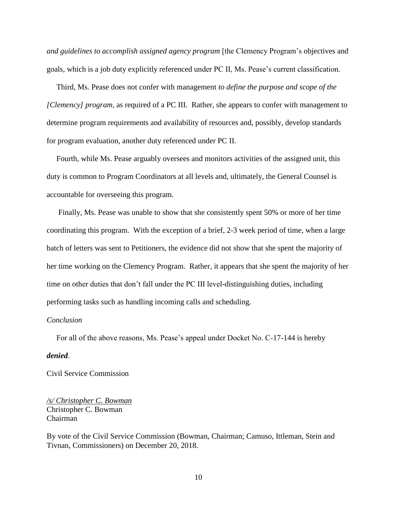*and guidelines to accomplish assigned agency program* [the Clemency Program's objectives and goals, which is a job duty explicitly referenced under PC II, Ms. Pease's current classification.

 Third, Ms. Pease does not confer with management *to define the purpose and scope of the [Clemency] program*, as required of a PC III. Rather, she appears to confer with management to determine program requirements and availability of resources and, possibly, develop standards for program evaluation, another duty referenced under PC II.

 Fourth, while Ms. Pease arguably oversees and monitors activities of the assigned unit, this duty is common to Program Coordinators at all levels and, ultimately, the General Counsel is accountable for overseeing this program.

 Finally, Ms. Pease was unable to show that she consistently spent 50% or more of her time coordinating this program. With the exception of a brief, 2-3 week period of time, when a large batch of letters was sent to Petitioners, the evidence did not show that she spent the majority of her time working on the Clemency Program. Rather, it appears that she spent the majority of her time on other duties that don't fall under the PC III level-distinguishing duties, including performing tasks such as handling incoming calls and scheduling.

#### *Conclusion*

For all of the above reasons, Ms. Pease's appeal under Docket No. C-17-144 is hereby

#### *denied*.

Civil Service Commission

*/s/ Christopher C. Bowman* Christopher C. Bowman Chairman

By vote of the Civil Service Commission (Bowman, Chairman; Camuso, Ittleman, Stein and Tivnan, Commissioners) on December 20, 2018.